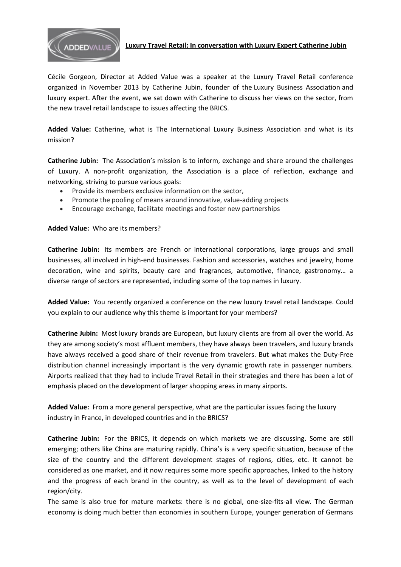

# **Luxury Travel Retail: In conversation with Luxury Expert Catherine Jubin**

Cécile Gorgeon, Director at Added Value was a speaker at the Luxury Travel Retail conference organized in November 2013 by Catherine Jubin, founder of the [Luxury Business Association](http://www.luxurybusiness-asso.com/) and luxury expert. After the event, we sat down with Catherine to discuss her views on the sector, from the new travel retail landscape to issues affecting the BRICS.

**Added Value:** Catherine, what is The International Luxury Business Association and what is its mission?

**Catherine Jubin:** The Association's mission is to inform, exchange and share around the challenges of Luxury. A non-profit organization, the Association is a place of reflection, exchange and networking, striving to pursue various goals:

- Provide its members exclusive information on the sector,
- Promote the pooling of means around innovative, value-adding projects
- Encourage exchange, facilitate meetings and foster new partnerships

# **Added Value:** Who are its members?

**Catherine Jubin:** Its members are French or international corporations, large groups and small businesses, all involved in high-end businesses. Fashion and accessories, watches and jewelry, home decoration, wine and spirits, beauty care and fragrances, automotive, finance, gastronomy… a diverse range of sectors are represented, including some of the top names in luxury.

**Added Value:** You recently organized a conference on the new luxury travel retail landscape. Could you explain to our audience why this theme is important for your members?

**Catherine Jubin:** Most luxury brands are European, but luxury clients are from all over the world. As they are among society's most affluent members, they have always been travelers, and luxury brands have always received a good share of their revenue from travelers. But what makes the Duty-Free distribution channel increasingly important is the very dynamic growth rate in passenger numbers. Airports realized that they had to include Travel Retail in their strategies and there has been a lot of emphasis placed on the development of larger shopping areas in many airports.

**Added Value:** From a more general perspective, what are the particular issues facing the luxury industry in France, in developed countries and in the BRICS?

**Catherine Jubin:** For the BRICS, it depends on which markets we are discussing. Some are still emerging; others like China are maturing rapidly. China's is a very specific situation, because of the size of the country and the different development stages of regions, cities, etc. It cannot be considered as one market, and it now requires some more specific approaches, linked to the history and the progress of each brand in the country, as well as to the level of development of each region/city.

The same is also true for mature markets: there is no global, one-size-fits-all view. The German economy is doing much better than economies in southern Europe, younger generation of Germans